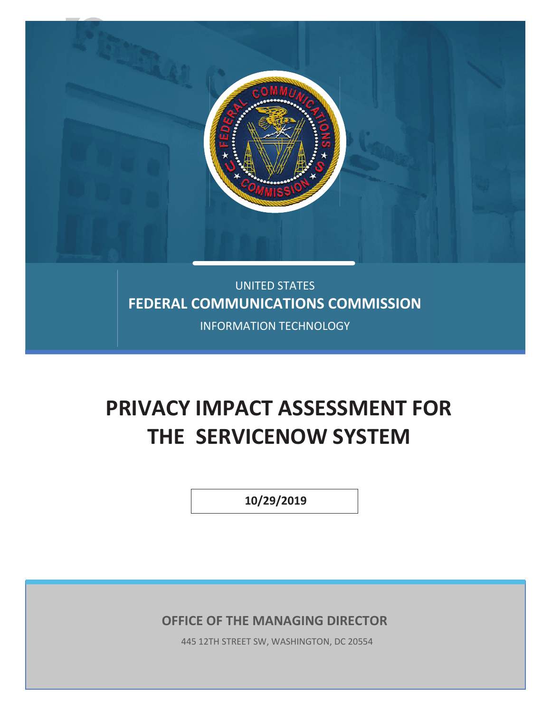

## UNITED STATES **FEDERAL COMMUNICATIONS COMMISSION**

INFORMATION TECHNOLOGY

# **PRIVACY IMPACT ASSESSMENT FOR THE SERVICENOW SYSTEM**

 **10/29/2019** 

**OFFICE OF THE MANAGING DIRECTOR**

445 12TH STREET SW, WASHINGTON, DC 20554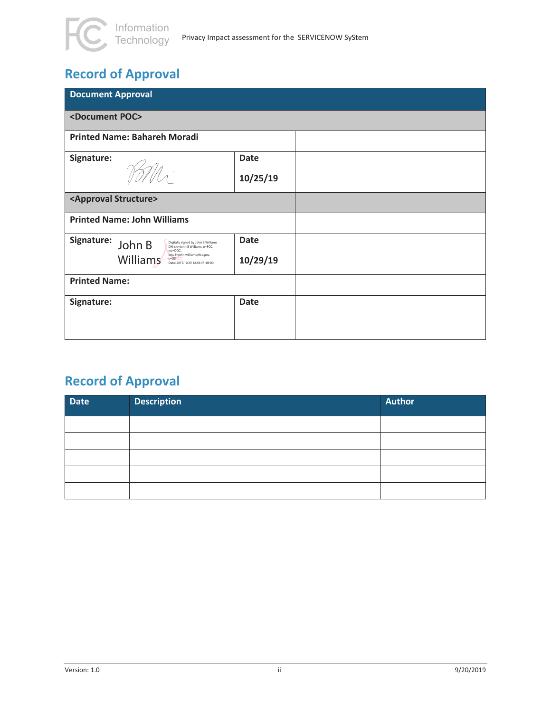## **Record of Approval**

| <b>Document Approval</b>                                                                                    |             |  |
|-------------------------------------------------------------------------------------------------------------|-------------|--|
| <document poc=""></document>                                                                                |             |  |
| <b>Printed Name: Bahareh Moradi</b>                                                                         |             |  |
| Signature:                                                                                                  | <b>Date</b> |  |
|                                                                                                             | 10/25/19    |  |
| <approval structure=""></approval>                                                                          |             |  |
| <b>Printed Name: John Williams</b>                                                                          |             |  |
| Signature: John B<br>Digitally signed by John B Williams<br>DN: cn=John B Williams, o=FCC.<br>ou=OGC.       | <b>Date</b> |  |
| email=john.williams@fcc.gov,<br>$Williams^{\frac{email}{\text{const}}$<br>Date: 2019.10.29 12:48:47 -04'00' | 10/29/19    |  |
| <b>Printed Name:</b>                                                                                        |             |  |
| Signature:                                                                                                  | <b>Date</b> |  |
|                                                                                                             |             |  |

## **Record of Approval**

| <b>Date</b> | <b>Description</b> | <b>Author</b> |
|-------------|--------------------|---------------|
|             |                    |               |
|             |                    |               |
|             |                    |               |
|             |                    |               |
|             |                    |               |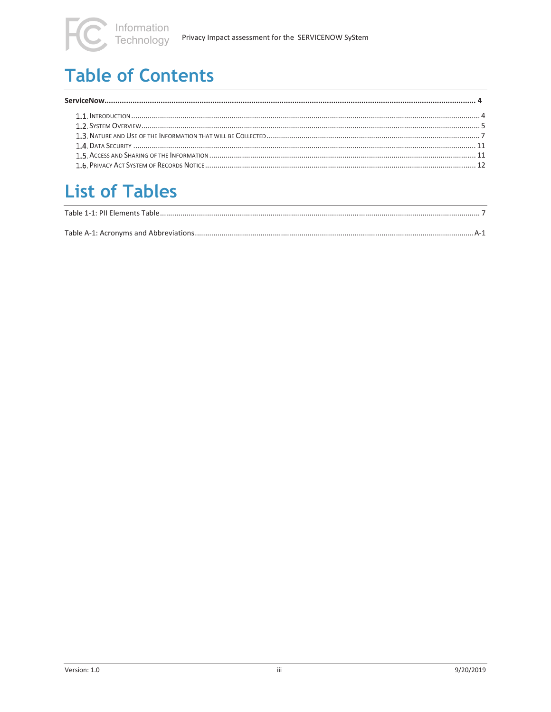## **Table of Contents**

## **List of Tables**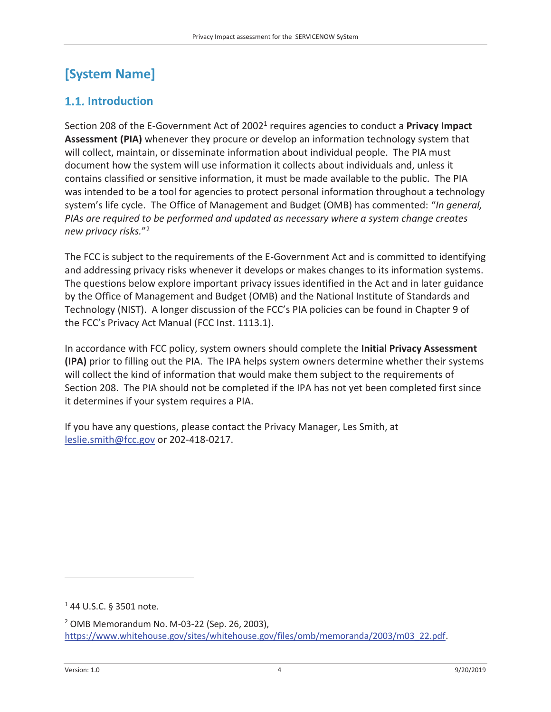### **[System Name]**

#### **1.1.** Introduction

Section 208 of the E-Government Act of 20021 requires agencies to conduct a **Privacy Impact Assessment (PIA)** whenever they procure or develop an information technology system that will collect, maintain, or disseminate information about individual people. The PIA must document how the system will use information it collects about individuals and, unless it contains classified or sensitive information, it must be made available to the public. The PIA was intended to be a tool for agencies to protect personal information throughout a technology system's life cycle. The Office of Management and Budget (OMB) has commented: "*In general, PIAs are required to be performed and updated as necessary where a system change creates new privacy risks.*"2

The FCC is subject to the requirements of the E-Government Act and is committed to identifying and addressing privacy risks whenever it develops or makes changes to its information systems. The questions below explore important privacy issues identified in the Act and in later guidance by the Office of Management and Budget (OMB) and the National Institute of Standards and Technology (NIST). A longer discussion of the FCC's PIA policies can be found in Chapter 9 of the FCC's Privacy Act Manual (FCC Inst. 1113.1).

In accordance with FCC policy, system owners should complete the **Initial Privacy Assessment (IPA)** prior to filling out the PIA. The IPA helps system owners determine whether their systems will collect the kind of information that would make them subject to the requirements of Section 208. The PIA should not be completed if the IPA has not yet been completed first since it determines if your system requires a PIA.

If you have any questions, please contact the Privacy Manager, Les Smith, at leslie.smith@fcc.gov or 202-418-0217.

1 44 U.S.C. § 3501 note.

 $\overline{a}$ 

<sup>2</sup> OMB Memorandum No. M-03-22 (Sep. 26, 2003), https://www.whitehouse.gov/sites/whitehouse.gov/files/omb/memoranda/2003/m03\_22.pdf.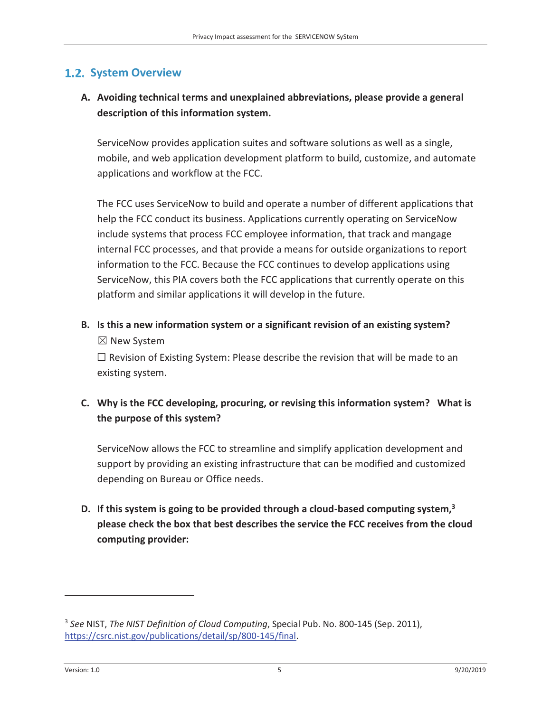#### **1.2. System Overview**

#### **A. Avoiding technical terms and unexplained abbreviations, please provide a general description of this information system.**

ServiceNow provides application suites and software solutions as well as a single, mobile, and web application development platform to build, customize, and automate applications and workflow at the FCC.

The FCC uses ServiceNow to build and operate a number of different applications that help the FCC conduct its business. Applications currently operating on ServiceNow include systems that process FCC employee information, that track and mangage internal FCC processes, and that provide a means for outside organizations to report information to the FCC. Because the FCC continues to develop applications using ServiceNow, this PIA covers both the FCC applications that currently operate on this platform and similar applications it will develop in the future.

#### **B. Is this a new information system or a significant revision of an existing system?**  ܈ New System

 $\Box$  Revision of Existing System: Please describe the revision that will be made to an existing system.

#### **C. Why is the FCC developing, procuring, or revising this information system? What is the purpose of this system?**

ServiceNow allows the FCC to streamline and simplify application development and support by providing an existing infrastructure that can be modified and customized depending on Bureau or Office needs.

#### **D. If this system is going to be provided through a cloud-based computing system,3 please check the box that best describes the service the FCC receives from the cloud computing provider:**

 $\overline{a}$ 

<sup>3</sup> *See* NIST, *The NIST Definition of Cloud Computing*, Special Pub. No. 800-145 (Sep. 2011), https://csrc.nist.gov/publications/detail/sp/800-145/final.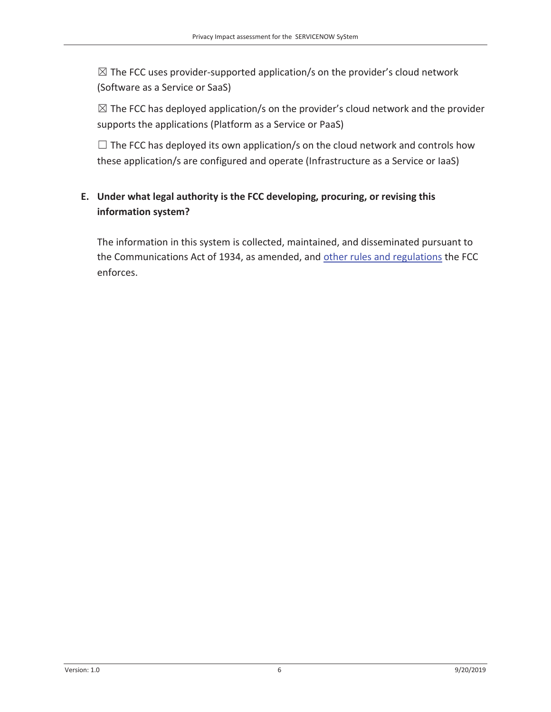$\boxtimes$  The FCC uses provider-supported application/s on the provider's cloud network (Software as a Service or SaaS)

 $\boxtimes$  The FCC has deployed application/s on the provider's cloud network and the provider supports the applications (Platform as a Service or PaaS)

 $\Box$  The FCC has deployed its own application/s on the cloud network and controls how these application/s are configured and operate (Infrastructure as a Service or IaaS)

#### **E. Under what legal authority is the FCC developing, procuring, or revising this information system?**

The information in this system is collected, maintained, and disseminated pursuant to the Communications Act of 1934, as amended, and other rules and regulations the FCC enforces.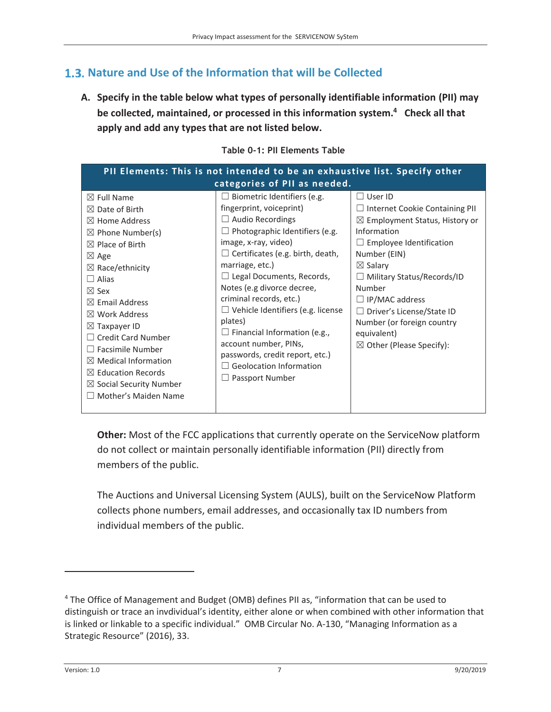### **Nature and Use of the Information that will be Collected**

**A. Specify in the table below what types of personally identifiable information (PII) may be collected, maintained, or processed in this information system.4 Check all that apply and add any types that are not listed below.** 

| $\boxtimes$ Full Name                                                                                                                                                                                                                                                                                                                              | categories of PII as needed.<br>$\Box$ Biometric Identifiers (e.g.<br>fingerprint, voiceprint)                                                                                                                                                                                                                                                                             | $\Box$ User ID<br>$\Box$ Internet Cookie Containing PII                                                                                                                                                                                                                                                                     |
|----------------------------------------------------------------------------------------------------------------------------------------------------------------------------------------------------------------------------------------------------------------------------------------------------------------------------------------------------|----------------------------------------------------------------------------------------------------------------------------------------------------------------------------------------------------------------------------------------------------------------------------------------------------------------------------------------------------------------------------|-----------------------------------------------------------------------------------------------------------------------------------------------------------------------------------------------------------------------------------------------------------------------------------------------------------------------------|
|                                                                                                                                                                                                                                                                                                                                                    |                                                                                                                                                                                                                                                                                                                                                                            |                                                                                                                                                                                                                                                                                                                             |
| $\boxtimes$ Date of Birth<br>$\boxtimes$ Home Address<br>$\boxtimes$ Phone Number(s)<br>$\boxtimes$ Place of Birth<br>$\boxtimes$ Age<br>$\boxtimes$ Race/ethnicity<br>$\Box$ Alias<br>$\boxtimes$ Sex<br>$\boxtimes$ Email Address<br>$\boxtimes$ Work Address<br>$\boxtimes$ Taxpayer ID<br>$\Box$ Credit Card Number<br>$\Box$ Facsimile Number | $\Box$ Audio Recordings<br>$\Box$ Photographic Identifiers (e.g.<br>image, x-ray, video)<br>$\Box$ Certificates (e.g. birth, death,<br>marriage, etc.)<br>$\Box$ Legal Documents, Records,<br>Notes (e.g divorce decree,<br>criminal records, etc.)<br>$\Box$ Vehicle Identifiers (e.g. license<br>plates)<br>$\Box$ Financial Information (e.g.,<br>account number, PINs, | $\boxtimes$ Employment Status, History or<br>Information<br>$\Box$ Employee Identification<br>Number (EIN)<br>$\boxtimes$ Salary<br>$\Box$ Military Status/Records/ID<br>Number<br>$\Box$ IP/MAC address<br>□ Driver's License/State ID<br>Number (or foreign country<br>equivalent)<br>$\boxtimes$ Other (Please Specify): |
| $\boxtimes$ Medical Information<br>$\boxtimes$ Education Records<br>$\boxtimes$ Social Security Number<br>$\Box$ Mother's Maiden Name                                                                                                                                                                                                              | passwords, credit report, etc.)<br>$\Box$ Geolocation Information<br>$\Box$ Passport Number                                                                                                                                                                                                                                                                                |                                                                                                                                                                                                                                                                                                                             |

**Table 0-1: PII Elements Table** 

**Other:** Most of the FCC applications that currently operate on the ServiceNow platform do not collect or maintain personally identifiable information (PII) directly from members of the public.

The Auctions and Universal Licensing System (AULS), built on the ServiceNow Platform collects phone numbers, email addresses, and occasionally tax ID numbers from individual members of the public.

 $\overline{a}$ 

<sup>&</sup>lt;sup>4</sup> The Office of Management and Budget (OMB) defines PII as, "information that can be used to distinguish or trace an invdividual's identity, either alone or when combined with other information that is linked or linkable to a specific individual." OMB Circular No. A-130, "Managing Information as a Strategic Resource" (2016), 33.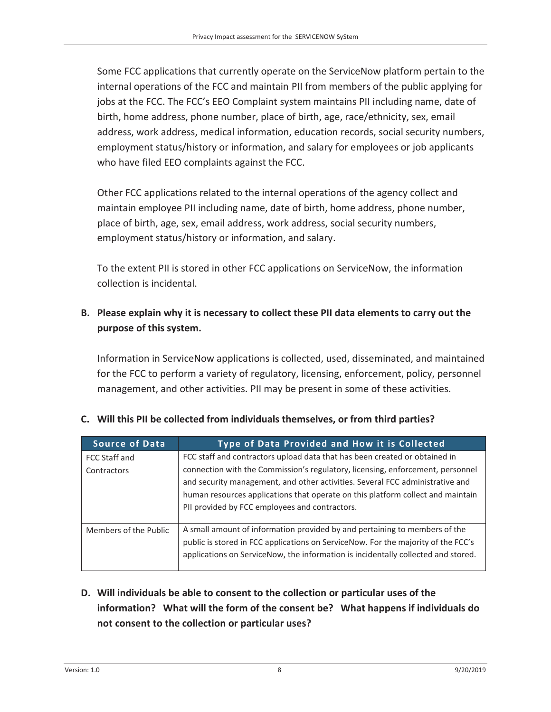Some FCC applications that currently operate on the ServiceNow platform pertain to the internal operations of the FCC and maintain PII from members of the public applying for jobs at the FCC. The FCC's EEO Complaint system maintains PII including name, date of birth, home address, phone number, place of birth, age, race/ethnicity, sex, email address, work address, medical information, education records, social security numbers, employment status/history or information, and salary for employees or job applicants who have filed EEO complaints against the FCC.

Other FCC applications related to the internal operations of the agency collect and maintain employee PII including name, date of birth, home address, phone number, place of birth, age, sex, email address, work address, social security numbers, employment status/history or information, and salary.

To the extent PII is stored in other FCC applications on ServiceNow, the information collection is incidental.

#### **B. Please explain why it is necessary to collect these PII data elements to carry out the purpose of this system.**

Information in ServiceNow applications is collected, used, disseminated, and maintained for the FCC to perform a variety of regulatory, licensing, enforcement, policy, personnel management, and other activities. PII may be present in some of these activities.

| <b>Source of Data</b> | <b>Type of Data Provided and How it is Collected</b>                                                                                                                                                                                                                                                 |
|-----------------------|------------------------------------------------------------------------------------------------------------------------------------------------------------------------------------------------------------------------------------------------------------------------------------------------------|
| FCC Staff and         | FCC staff and contractors upload data that has been created or obtained in                                                                                                                                                                                                                           |
| Contractors           | connection with the Commission's regulatory, licensing, enforcement, personnel<br>and security management, and other activities. Several FCC administrative and<br>human resources applications that operate on this platform collect and maintain<br>PII provided by FCC employees and contractors. |
| Members of the Public | A small amount of information provided by and pertaining to members of the<br>public is stored in FCC applications on ServiceNow. For the majority of the FCC's<br>applications on ServiceNow, the information is incidentally collected and stored.                                                 |

#### **C. Will this PII be collected from individuals themselves, or from third parties?**

**D. Will individuals be able to consent to the collection or particular uses of the information? What will the form of the consent be? What happens if individuals do not consent to the collection or particular uses?**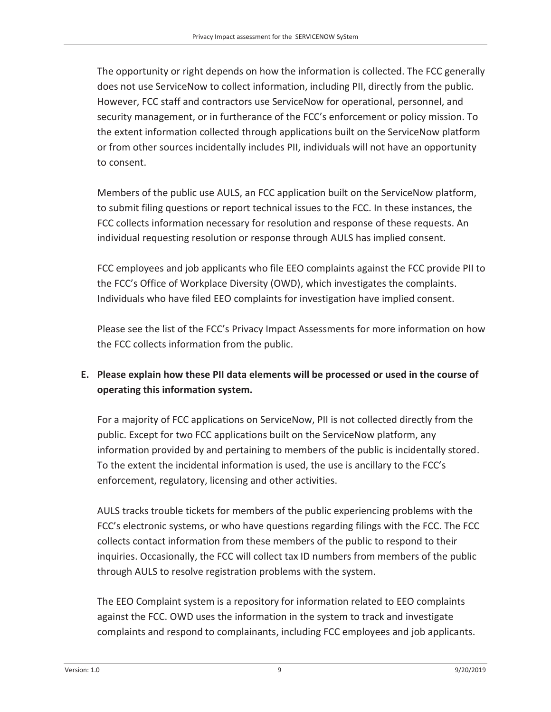The opportunity or right depends on how the information is collected. The FCC generally does not use ServiceNow to collect information, including PII, directly from the public. However, FCC staff and contractors use ServiceNow for operational, personnel, and security management, or in furtherance of the FCC's enforcement or policy mission. To the extent information collected through applications built on the ServiceNow platform or from other sources incidentally includes PII, individuals will not have an opportunity to consent.

Members of the public use AULS, an FCC application built on the ServiceNow platform, to submit filing questions or report technical issues to the FCC. In these instances, the FCC collects information necessary for resolution and response of these requests. An individual requesting resolution or response through AULS has implied consent.

FCC employees and job applicants who file EEO complaints against the FCC provide PII to the FCC's Office of Workplace Diversity (OWD), which investigates the complaints. Individuals who have filed EEO complaints for investigation have implied consent.

Please see the list of the FCC's Privacy Impact Assessments for more information on how the FCC collects information from the public.

#### **E. Please explain how these PII data elements will be processed or used in the course of operating this information system.**

For a majority of FCC applications on ServiceNow, PII is not collected directly from the public. Except for two FCC applications built on the ServiceNow platform, any information provided by and pertaining to members of the public is incidentally stored. To the extent the incidental information is used, the use is ancillary to the FCC's enforcement, regulatory, licensing and other activities.

AULS tracks trouble tickets for members of the public experiencing problems with the FCC's electronic systems, or who have questions regarding filings with the FCC. The FCC collects contact information from these members of the public to respond to their inquiries. Occasionally, the FCC will collect tax ID numbers from members of the public through AULS to resolve registration problems with the system.

The EEO Complaint system is a repository for information related to EEO complaints against the FCC. OWD uses the information in the system to track and investigate complaints and respond to complainants, including FCC employees and job applicants.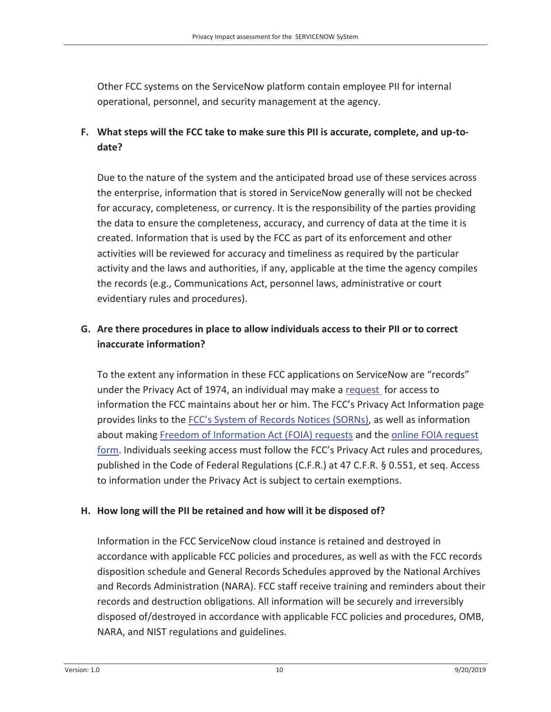Other FCC systems on the ServiceNow platform contain employee PII for internal operational, personnel, and security management at the agency.

#### **F. What steps will the FCC take to make sure this PII is accurate, complete, and up-todate?**

Due to the nature of the system and the anticipated broad use of these services across the enterprise, information that is stored in ServiceNow generally will not be checked for accuracy, completeness, or currency. It is the responsibility of the parties providing the data to ensure the completeness, accuracy, and currency of data at the time it is created. Information that is used by the FCC as part of its enforcement and other activities will be reviewed for accuracy and timeliness as required by the particular activity and the laws and authorities, if any, applicable at the time the agency compiles the records (e.g., Communications Act, personnel laws, administrative or court evidentiary rules and procedures).

#### **G. Are there procedures in place to allow individuals access to their PII or to correct inaccurate information?**

To the extent any information in these FCC applications on ServiceNow are "records" under the Privacy Act of 1974, an individual may make a request for access to information the FCC maintains about her or him. The FCC's Privacy Act Information page provides links to the FCC's System of Records Notices (SORNs), as well as information about making Freedom of Information Act (FOIA) requests and the online FOIA request form. Individuals seeking access must follow the FCC's Privacy Act rules and procedures, published in the Code of Federal Regulations (C.F.R.) at 47 C.F.R. § 0.551, et seq. Access to information under the Privacy Act is subject to certain exemptions.

#### **H. How long will the PII be retained and how will it be disposed of?**

Information in the FCC ServiceNow cloud instance is retained and destroyed in accordance with applicable FCC policies and procedures, as well as with the FCC records disposition schedule and General Records Schedules approved by the National Archives and Records Administration (NARA). FCC staff receive training and reminders about their records and destruction obligations. All information will be securely and irreversibly disposed of/destroyed in accordance with applicable FCC policies and procedures, OMB, NARA, and NIST regulations and guidelines.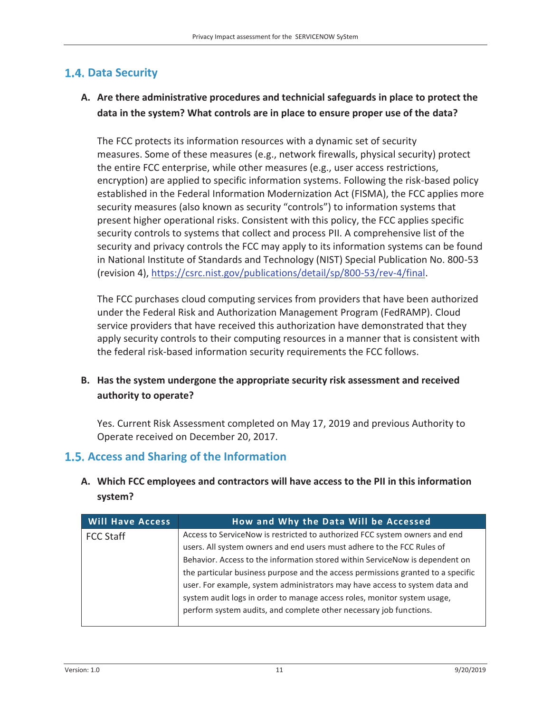#### **1.4. Data Security**

#### **A. Are there administrative procedures and technicial safeguards in place to protect the data in the system? What controls are in place to ensure proper use of the data?**

The FCC protects its information resources with a dynamic set of security measures. Some of these measures (e.g., network firewalls, physical security) protect the entire FCC enterprise, while other measures (e.g., user access restrictions, encryption) are applied to specific information systems. Following the risk-based policy established in the Federal Information Modernization Act (FISMA), the FCC applies more security measures (also known as security "controls") to information systems that present higher operational risks. Consistent with this policy, the FCC applies specific security controls to systems that collect and process PII. A comprehensive list of the security and privacy controls the FCC may apply to its information systems can be found in National Institute of Standards and Technology (NIST) Special Publication No. 800-53 (revision 4), https://csrc.nist.gov/publications/detail/sp/800-53/rev-4/final.

The FCC purchases cloud computing services from providers that have been authorized under the Federal Risk and Authorization Management Program (FedRAMP). Cloud service providers that have received this authorization have demonstrated that they apply security controls to their computing resources in a manner that is consistent with the federal risk-based information security requirements the FCC follows.

#### **B. Has the system undergone the appropriate security risk assessment and received authority to operate?**

Yes. Current Risk Assessment completed on May 17, 2019 and previous Authority to Operate received on December 20, 2017.

#### **Access and Sharing of the Information**

**A. Which FCC employees and contractors will have access to the PII in this information system?** 

| <b>Will Have Access</b> | How and Why the Data Will be Accessed                                            |
|-------------------------|----------------------------------------------------------------------------------|
| <b>FCC Staff</b>        | Access to ServiceNow is restricted to authorized FCC system owners and end       |
|                         | users. All system owners and end users must adhere to the FCC Rules of           |
|                         | Behavior. Access to the information stored within ServiceNow is dependent on     |
|                         | the particular business purpose and the access permissions granted to a specific |
|                         | user. For example, system administrators may have access to system data and      |
|                         | system audit logs in order to manage access roles, monitor system usage,         |
|                         | perform system audits, and complete other necessary job functions.               |
|                         |                                                                                  |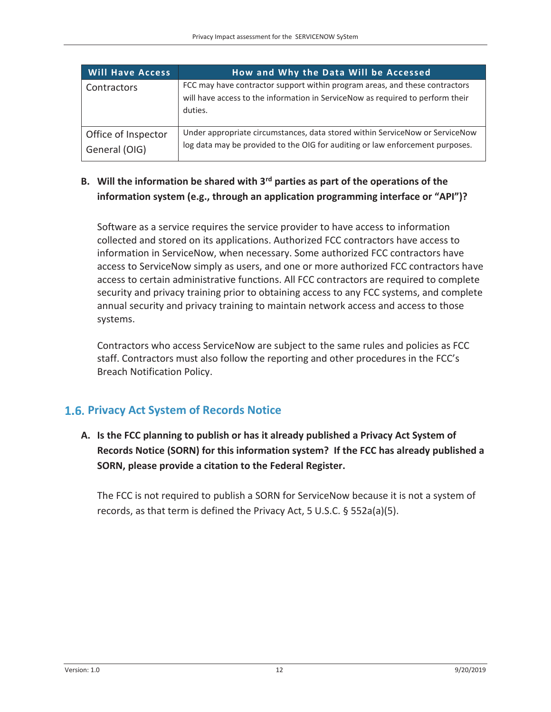| <b>Will Have Access</b>              | How and Why the Data Will be Accessed                                                                                                                                    |
|--------------------------------------|--------------------------------------------------------------------------------------------------------------------------------------------------------------------------|
| Contractors                          | FCC may have contractor support within program areas, and these contractors<br>will have access to the information in ServiceNow as required to perform their<br>duties. |
| Office of Inspector<br>General (OIG) | Under appropriate circumstances, data stored within ServiceNow or ServiceNow<br>log data may be provided to the OIG for auditing or law enforcement purposes.            |

#### **B. Will the information be shared with 3rd parties as part of the operations of the information system (e.g., through an application programming interface or "API")?**

Software as a service requires the service provider to have access to information collected and stored on its applications. Authorized FCC contractors have access to information in ServiceNow, when necessary. Some authorized FCC contractors have access to ServiceNow simply as users, and one or more authorized FCC contractors have access to certain administrative functions. All FCC contractors are required to complete security and privacy training prior to obtaining access to any FCC systems, and complete annual security and privacy training to maintain network access and access to those systems.

Contractors who access ServiceNow are subject to the same rules and policies as FCC staff. Contractors must also follow the reporting and other procedures in the FCC's Breach Notification Policy.

#### **1.6. Privacy Act System of Records Notice**

**A. Is the FCC planning to publish or has it already published a Privacy Act System of Records Notice (SORN) for this information system? If the FCC has already published a SORN, please provide a citation to the Federal Register.** 

The FCC is not required to publish a SORN for ServiceNow because it is not a system of records, as that term is defined the Privacy Act, 5 U.S.C. § 552a(a)(5).